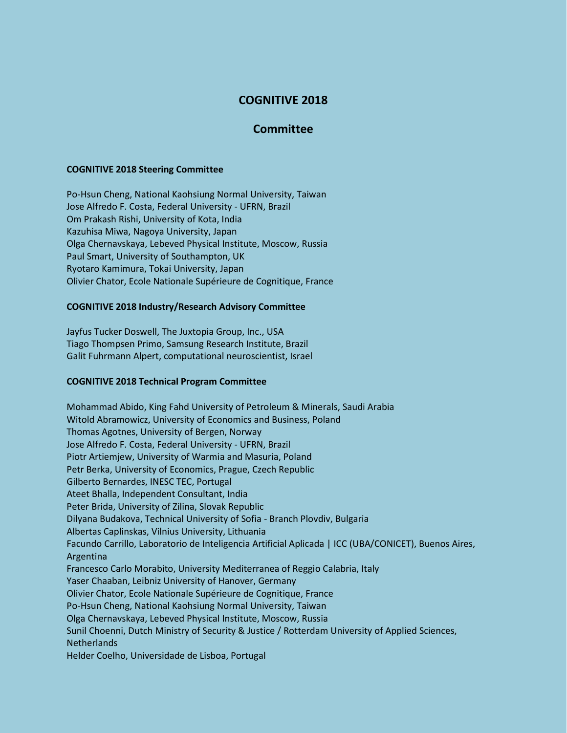# **COGNITIVE 2018**

## **Committee**

#### **COGNITIVE 2018 Steering Committee**

Po-Hsun Cheng, National Kaohsiung Normal University, Taiwan Jose Alfredo F. Costa, Federal University - UFRN, Brazil Om Prakash Rishi, University of Kota, India Kazuhisa Miwa, Nagoya University, Japan Olga Chernavskaya, Lebeved Physical Institute, Moscow, Russia Paul Smart, University of Southampton, UK Ryotaro Kamimura, Tokai University, Japan Olivier Chator, Ecole Nationale Supérieure de Cognitique, France

#### **COGNITIVE 2018 Industry/Research Advisory Committee**

Jayfus Tucker Doswell, The Juxtopia Group, Inc., USA Tiago Thompsen Primo, Samsung Research Institute, Brazil Galit Fuhrmann Alpert, computational neuroscientist, Israel

### **COGNITIVE 2018 Technical Program Committee**

Mohammad Abido, King Fahd University of Petroleum & Minerals, Saudi Arabia Witold Abramowicz, University of Economics and Business, Poland Thomas Agotnes, University of Bergen, Norway Jose Alfredo F. Costa, Federal University - UFRN, Brazil Piotr Artiemjew, University of Warmia and Masuria, Poland Petr Berka, University of Economics, Prague, Czech Republic Gilberto Bernardes, INESC TEC, Portugal Ateet Bhalla, Independent Consultant, India Peter Brida, University of Zilina, Slovak Republic Dilyana Budakova, Technical University of Sofia - Branch Plovdiv, Bulgaria Albertas Caplinskas, Vilnius University, Lithuania Facundo Carrillo, Laboratorio de Inteligencia Artificial Aplicada | ICC (UBA/CONICET), Buenos Aires, Argentina Francesco Carlo Morabito, University Mediterranea of Reggio Calabria, Italy Yaser Chaaban, Leibniz University of Hanover, Germany Olivier Chator, Ecole Nationale Supérieure de Cognitique, France Po-Hsun Cheng, National Kaohsiung Normal University, Taiwan Olga Chernavskaya, Lebeved Physical Institute, Moscow, Russia Sunil Choenni, Dutch Ministry of Security & Justice / Rotterdam University of Applied Sciences, **Netherlands** Helder Coelho, Universidade de Lisboa, Portugal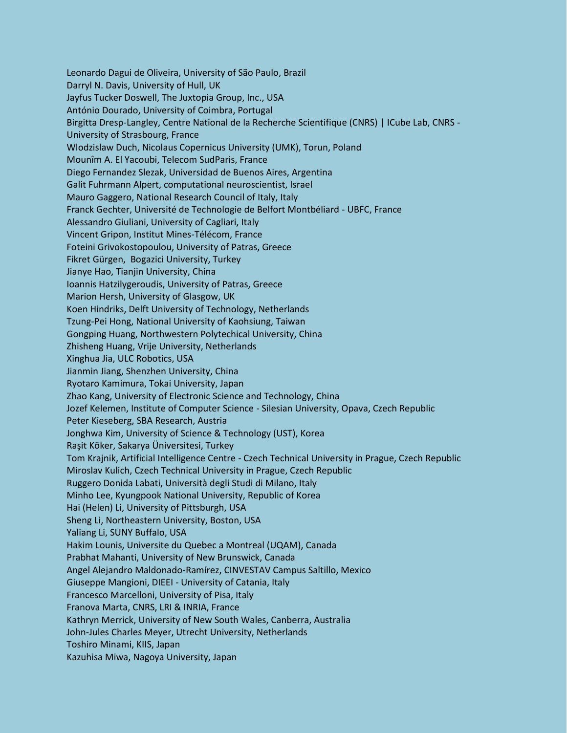Leonardo Dagui de Oliveira, University of São Paulo, Brazil Darryl N. Davis, University of Hull, UK Jayfus Tucker Doswell, The Juxtopia Group, Inc., USA António Dourado, University of Coimbra, Portugal Birgitta Dresp-Langley, Centre National de la Recherche Scientifique (CNRS) | ICube Lab, CNRS - University of Strasbourg, France Wlodzislaw Duch, Nicolaus Copernicus University (UMK), Torun, Poland Mounîm A. El Yacoubi, Telecom SudParis, France Diego Fernandez Slezak, Universidad de Buenos Aires, Argentina Galit Fuhrmann Alpert, computational neuroscientist, Israel Mauro Gaggero, National Research Council of Italy, Italy Franck Gechter, Université de Technologie de Belfort Montbéliard - UBFC, France Alessandro Giuliani, University of Cagliari, Italy Vincent Gripon, Institut Mines-Télécom, France Foteini Grivokostopoulou, University of Patras, Greece Fikret Gürgen, Bogazici University, Turkey Jianye Hao, Tianjin University, China Ioannis Hatzilygeroudis, University of Patras, Greece Marion Hersh, University of Glasgow, UK Koen Hindriks, Delft University of Technology, Netherlands Tzung-Pei Hong, National University of Kaohsiung, Taiwan Gongping Huang, Northwestern Polytechical University, China Zhisheng Huang, Vrije University, Netherlands Xinghua Jia, ULC Robotics, USA Jianmin Jiang, Shenzhen University, China Ryotaro Kamimura, Tokai University, Japan Zhao Kang, University of Electronic Science and Technology, China Jozef Kelemen, Institute of Computer Science - Silesian University, Opava, Czech Republic Peter Kieseberg, SBA Research, Austria Jonghwa Kim, University of Science & Technology (UST), Korea Raşit Köker, Sakarya Üniversitesi, Turkey Tom Krajnik, Artificial Intelligence Centre - Czech Technical University in Prague, Czech Republic Miroslav Kulich, Czech Technical University in Prague, Czech Republic Ruggero Donida Labati, Università degli Studi di Milano, Italy Minho Lee, Kyungpook National University, Republic of Korea Hai (Helen) Li, University of Pittsburgh, USA Sheng Li, Northeastern University, Boston, USA Yaliang Li, SUNY Buffalo, USA Hakim Lounis, Universite du Quebec a Montreal (UQAM), Canada Prabhat Mahanti, University of New Brunswick, Canada Angel Alejandro Maldonado-Ramírez, CINVESTAV Campus Saltillo, Mexico Giuseppe Mangioni, DIEEI - University of Catania, Italy Francesco Marcelloni, University of Pisa, Italy Franova Marta, CNRS, LRI & INRIA, France Kathryn Merrick, University of New South Wales, Canberra, Australia John-Jules Charles Meyer, Utrecht University, Netherlands Toshiro Minami, KIIS, Japan Kazuhisa Miwa, Nagoya University, Japan